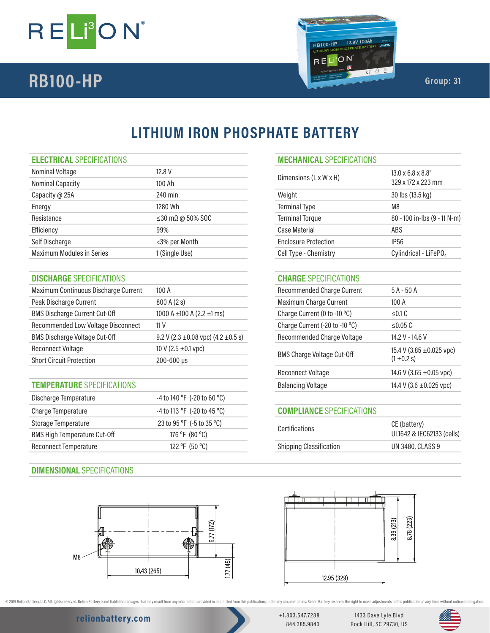



# **LITHIUM IRON PHOSPHATE BATTERY**

| Nominal Voltage                  | 12.8 V                         | $13.0 \times 6.8 \times 8.8$ "<br>Dimensions (L x W x H) |                                   |
|----------------------------------|--------------------------------|----------------------------------------------------------|-----------------------------------|
| <b>Nominal Capacity</b>          | 100 Ah                         |                                                          | 329 x 172 x 223 mm                |
| Capacity @ 25A                   | 240 min                        | Weight                                                   | 30 lbs (13.5 kg)                  |
| Energy                           | 1280 Wh                        | <b>Terminal Type</b>                                     | M8                                |
| Resistance                       | $\leq$ 30 m $\Omega$ @ 50% SOC | <b>Terminal Torque</b>                                   | 80 - 100 in-lbs (9 - 11 N-m)      |
| Efficiency                       | 99%                            | Case Material                                            | ABS.                              |
| Self Discharge                   | <3% per Month                  | <b>Enclosure Protection</b>                              | IP <sub>56</sub>                  |
| <b>Maximum Modules in Series</b> | 1 (Single Use)                 | Cell Type - Chemistry                                    | Cylindrical - LiFePO <sub>4</sub> |
|                                  |                                |                                                          |                                   |

## **DISCHARGE** SPECIFICATIONS **CHARGE** SPECIFICATIONS

| Maximum Continuous Discharge Current | 100A                                         | <b>Recommended Charge Current</b> | $5A - 50A$                    |
|--------------------------------------|----------------------------------------------|-----------------------------------|-------------------------------|
| Peak Discharge Current               | 800A(2s)                                     | Maximum Charge Current            | 100A                          |
| <b>BMS Discharge Current Cut-Off</b> | 1000 A $\pm$ 100 A (2.2 $\pm$ 1 ms)          | Charge Current (0 to -10 °C)      | $\leq$ 0.1 C                  |
| Recommended Low Voltage Disconnect   | 11 <sub>V</sub>                              | Charge Current (-20 to -10 °C)    | $\leq$ 0.05 C                 |
| <b>BMS Discharge Voltage Cut-Off</b> | 9.2 V (2.3 $\pm$ 0.08 vpc) (4.2 $\pm$ 0.5 s) | <b>Recommended Charge Voltage</b> | 14.2 V - 14.6 V               |
| <b>Reconnect Voltage</b>             | 10 V (2.5 $\pm$ 0.1 vpc)                     |                                   | 15.4 V (3.85 $\pm$ 0.025 vpc) |
| <b>Short Circuit Protection</b>      | $200 - 600 \,\mu s$                          | <b>BMS Charge Voltage Cut-Off</b> | $(1 \pm 0.2 s)$               |

## **TEMPERATURE** SPECIFICATIONS

| Discharge Temperature               | -4 to 140 °F (-20 to 60 °C) |                                  |                           |
|-------------------------------------|-----------------------------|----------------------------------|---------------------------|
| Charge Temperature                  | -4 to 113 °F (-20 to 45 °C) | <b>COMPLIANCE SPECIFICATIONS</b> |                           |
| Storage Temperature                 | 23 to 95 °F (-5 to 35 °C)   | <b>Certifications</b>            | CE (battery)              |
| <b>BMS High Temperature Cut-Off</b> | 176 °F (80 °C)              |                                  | UL1642 & IEC62133 (cells) |
| Reconnect Temperature               | 122 °F (50 °C)              | <b>Shipping Classification</b>   | UN 3480, CLASS 9          |
|                                     |                             |                                  |                           |

## **DIMENSIONAL** SPECIFICATIONS



## **ELECTRICAL** SPECIFICATIONS **MECHANICAL** SPECIFICATIONS

| Dimensions (L x W x H)      | $13.0 \times 6.8 \times 8.8$ "<br>329 x 172 x 223 mm |
|-----------------------------|------------------------------------------------------|
| Weight                      | 30 lbs (13.5 kg)                                     |
| <b>Terminal Type</b>        | M8                                                   |
| <b>Terminal Torque</b>      | 80 - 100 in-lbs (9 - 11 N-m)                         |
| Case Material               | ABS                                                  |
| <b>Enclosure Protection</b> | IP56                                                 |
| Cell Type - Chemistry       | Cylindrical - LiFePO <sub>4</sub>                    |

| Recommended Charge Current        | $5A - 50A$                                       |
|-----------------------------------|--------------------------------------------------|
| Maximum Charge Current            | 100 A                                            |
| Charge Current (0 to -10 °C)      | < 0.1 C                                          |
| Charge Current (-20 to -10 °C)    | < 0.05 C                                         |
| Recommended Charge Voltage        | 14.2 V - 14.6 V                                  |
| <b>BMS Charge Voltage Cut-Off</b> | 15.4 V (3.85 $\pm$ 0.025 vpc)<br>$(1 \pm 0.2 s)$ |
| Reconnect Voltage                 | 14.6 V (3.65 $\pm$ 0.05 vpc)                     |
| <b>Balancing Voltage</b>          | 14.4 V (3.6 $\pm$ 0.025 vpc)                     |
|                                   |                                                  |

## **COMPLIANCE** SPECIFICATIONS

| <b>Certifications</b>          | CE (battery)<br>UL1642 & IEC62133 (cells) |
|--------------------------------|-------------------------------------------|
| <b>Shipping Classification</b> | UN 3480, CLASS 9                          |
|                                |                                           |



@ 2019 Relion Battery, LLC. All rights reserved. Relion Battery is not liable for damages that may result from any information provided in or omitted from this publication, under any orcumstances. Relion Battery reserves t

## **relionbattery.com** +1.803.547.7288

844.385.9840

1433 Dave Lyle Blvd Rock Hill, SC 29730, US